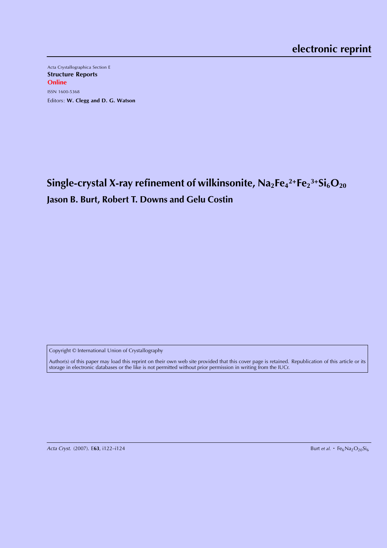Acta Crystallographica Section E Structure Reports **Online** ISSN 1600-5368 Editors: W. Clegg and D. G. Watson

 $\mathbf{Single}$ -crystal X-ray refinement of wilkinsonite,  $\mathsf{Na}_2\mathsf{Fe}_4{}^{2+}\mathsf{Fe}_2{}^{3+}\mathsf{Si}_6\mathsf{O}_{20}$ **Jason B. Burt, Robert T. Downs and Gelu Costin**

Copyright © International Union of Crystallography

Author(s) of this paper may load this reprint on their own web site provided that this cover page is retained. Republication of this article or its storage in electronic databases or the like is not permitted without prior permission in writing from the IUCr.

Acta Cryst. (2007). E63, i122-i124

Burt et al.  $\cdot$  Fe<sub>6</sub>Na<sub>2</sub>O<sub>20</sub>Si<sub>6</sub>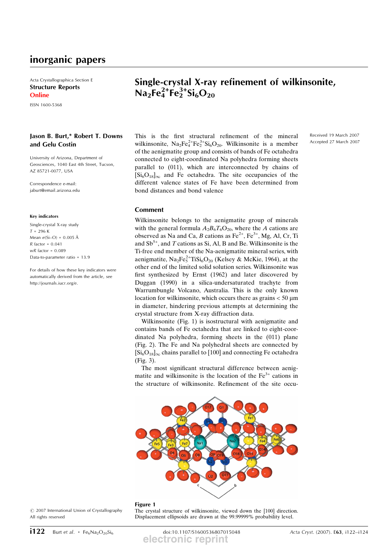# inorganic papers

Acta Crystallographica Section E Structure Reports **Online** 

ISSN 1600-5368

### Jason B. Burt,\* Robert T. Downs and Gelu Costin

University of Arizona, Department of Geosciences, 1040 East 4th Street, Tucson, AZ 85721-0077, USA

Correspondence e-mail: jaburt@email.arizona.edu

#### Key indicators

Single-crystal X-ray study  $T = 296 K$ Mean  $\sigma$ (Si-O) = 0.005 Å  $R$  factor = 0.041  $wR$  factor =  $0.089$ Data-to-parameter ratio = 13.9

For details of how these key indicators were automatically derived from the article, see http://journals.iucr.org/e.

# Single-crystal X-ray refinement of wilkinsonite,  $Na<sub>2</sub>Fe<sub>4</sub><sup>2+</sup>Fe<sub>2</sub><sup>3+</sup>Si<sub>6</sub>O<sub>20</sub>$

This is the first structural refinement of the mineral wilkinsonite,  $Na_2Fe_4^{2+}Fe_2^{3+}Si_6O_{20}$ . Wilkinsonite is a member of the aenigmatite group and consists of bands of Fe octahedra connected to eight-coordinated Na polyhedra forming sheets parallel to (011), which are interconnected by chains of  $[Si_6O_{18}]_{\infty}$  and Fe octahedra. The site occupancies of the different valence states of Fe have been determined from bond distances and bond valence

Received 19 March 2007 Accepted 27 March 2007

### Comment

Wilkinsonite belongs to the aenigmatite group of minerals with the general formula  $A_2B_6T_6O_{20}$ , where the A cations are observed as Na and Ca, B cations as  $Fe^{2+}$ ,  $Fe^{3+}$ , Mg, Al, Cr, Ti and  $Sb^{5+}$ , and T cations as Si, Al, B and Be. Wilkinsonite is the Ti-free end member of the Na-aenigmatite mineral series, with aenigmatite,  $\text{Na}_2\text{Fe}_5^{2+}\text{TiSi}_6\text{O}_{20}$  (Kelsey & McKie, 1964), at the other end of the limited solid solution series. Wilkinsonite was first synthesized by Ernst (1962) and later discovered by Duggan (1990) in a silica-undersaturated trachyte from Warrumbungle Volcano, Australia. This is the only known location for wilkinsonite, which occurs there as grains  $< 50 \text{ µm}$ in diameter, hindering previous attempts at determining the crystal structure from X-ray diffraction data.

Wilkinsonite (Fig. 1) is isostructural with aenigmatite and contains bands of Fe octahedra that are linked to eight-coordinated Na polyhedra, forming sheets in the (011) plane (Fig. 2). The Fe and Na polyhedral sheets are connected by  $[Si_6O_{18}]_{\infty}$  chains parallel to [100] and connecting Fe octahedra (Fig. 3).

The most significant structural difference between aenigmatite and wilkinsonite is the location of the  $Fe<sup>3+</sup>$  cations in the structure of wilkinsonite. Refinement of the site occu-



The crystal structure of wilkinsonite, viewed down the [100] direction. Displacement ellipsoids are drawn at the 99.99999% probability level.

#### $\odot$  2007 International Union of Crystallography All rights reserved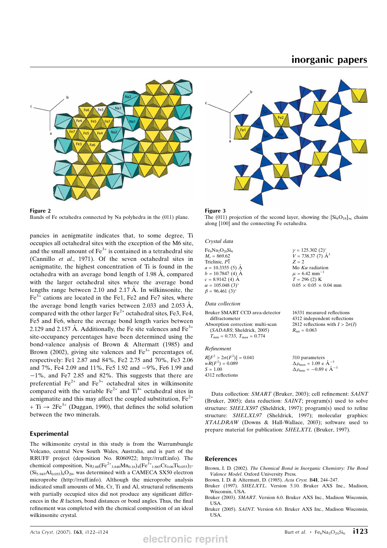## inorganic papers



Figure 2 Bands of Fe octahedra connected by Na polyhedra in the (011) plane.

pancies in aenigmatite indicates that, to some degree, Ti occupies all octahedral sites with the exception of the M6 site, and the small amount of  $Fe<sup>3+</sup>$  is contained in a tetrahedral site (Cannillo et al., 1971). Of the seven octahedral sites in aenigmatite, the highest concentration of Ti is found in the octahedra with an average bond length of  $1.98 \text{ Å}$ , compared with the larger octahedral sites where the average bond lengths range between 2.10 and 2.17  $\AA$ . In wilkinsonite, the  $Fe<sup>3+</sup>$  cations are located in the Fe1, Fe2 and Fe7 sites, where the average bond length varies between 2.033 and 2.053  $\AA$ , compared with the other larger  $Fe^{2+}$  octahedral sites, Fe3, Fe4, Fe5 and Fe6, where the average bond length varies between 2.129 and 2.157 Å. Additionally, the Fe site valences and  $Fe<sup>3+</sup>$ site-occupancy percentages have been determined using the bond-valence analysis of Brown & Altermatt (1985) and Brown (2002), giving site valences and  $Fe<sup>3+</sup>$  percentages of, respectively: Fe1 2.87 and 84%, Fe2 2.75 and 70%, Fe3 2.06 and 7%, Fe4 2.09 and 11%, Fe5 1.92 and -9%, Fe6 1.99 and -1%, and Fe7 2.85 and 82%. This suggests that there are preferential  $\text{Fe}^{2+}$  and  $\text{Fe}^{3+}$  octahedral sites in wilkinsonite compared with the variable  $Fe^{2+}$  and  $Ti^{4+}$  octahedral sites in aenigmatite and this may affect the coupled substitution,  $Fe^{2+}$  $+ Ti \rightarrow 2Fe^{3+}$  (Duggan, 1990), that defines the solid solution between the two minerals.

### Experimental

The wilkinsonite crystal in this study is from the Warrumbungle Volcano, central New South Wales, Australia, and is part of the RRUFF project (deposition No. R060922; http://rruff.info). The chemical composition,  $Na_{2,00}(Fe^{2+}_{3,840}Mn_{0,16})_4(Fe^{3+}_{1,885}Cr_{0,06}Ti_{0,055})_2$  $(Si_{5.945}Al_{0.055})$ <sub>6</sub>O<sub>20</sub>, was determined with a CAMECA SX50 electron microprobe (http://rruff.info). Although the microprobe analysis indicated small amounts of Mn, Cr, Ti and Al, structural refinements with partially occupied sites did not produce any significant differences in the R factors, bond distances or bond angles. Thus, the final refinement was completed with the chemical composition of an ideal wilkinsonite crystal.



The (011) projection of the second layer, showing the  $[Si_6O_{18}]_{\infty}$  chains along [100] and the connecting Fe octahedra.

Crystal data

 $Fe<sub>6</sub>Na<sub>2</sub>O<sub>20</sub>Si<sub>6</sub>$  $M_r = 869.62$ Triclinic,  $P_1$  $a = 10.3355(5)$  Å  $b = 10.7847(4)$  Å  $c = 8.9142(4)$  Å  $\alpha = 105.048 \text{ (3)}^{\circ}$  $\beta = 96.461$  (3)<sup>o</sup>  $v = 125.302 (2)$  $V = 738.37(7)$   $\AA^3$  $Z = 2$ Mo  $K\alpha$  radiation  $\mu = 6.42$  mm<sup>-1</sup>  $T = 296(2)$  K  $0.05 \times 0.05 \times 0.04$  mm

#### Data collection

| Bruker SMART CCD area-detector                      |
|-----------------------------------------------------|
| diffractometer                                      |
| Absorption correction: multi-scan                   |
| (SADABS; Sheldrick, 2005)                           |
| $T_{\text{min}} = 0.733$ , $T_{\text{max}} = 0.774$ |
|                                                     |

### Refinement

 $R[F^2 > 2\sigma(F^2)] = 0.041$ <br>  $wR(F^2) = 0.089$  $S = 1.00$ 4312 reflections 310 parameters  $\Delta \rho_{\text{max}} = 1.09 \text{ e A}^{-3}$  $\Delta \rho_{\text{min}} = -0.89 \text{ e A}^{-3}$ 

Data collection: SMART (Bruker, 2003); cell refinement: SAINT (Bruker, 2005); data reduction: SAINT; program(s) used to solve structure: SHELXS97 (Sheldrick, 1997); program(s) used to refine structure: SHELXL97 (Sheldrick, 1997); molecular graphics: XTALDRAW (Downs & Hall-Wallace, 2003); software used to prepare material for publication: SHELXTL (Bruker, 1997).

### References

Brown, I. D. (2002). The Chemical Bond in Inorganic Chemistry: The Bond Valence Model. Oxford University Press.

- Brown, I. D. & Altermatt, D. (1985). Acta Cryst. B41, 244–247. Bruker (1997). SHELXTL. Version 5.10. Bruker AXS Inc., Madison,
- Wisconsin, USA. Bruker (2003). SMART. Version 6.0. Bruker AXS Inc., Madison Wisconsin, USA.
- Bruker (2005). SAINT. Version 6.0. Bruker AXS Inc., Madison Wisconsin, USA.

16331 measured reflections 4312 independent reflections 2812 reflections with  $I > 2\sigma(I)$ 

 $R_{\rm int} = 0.063$